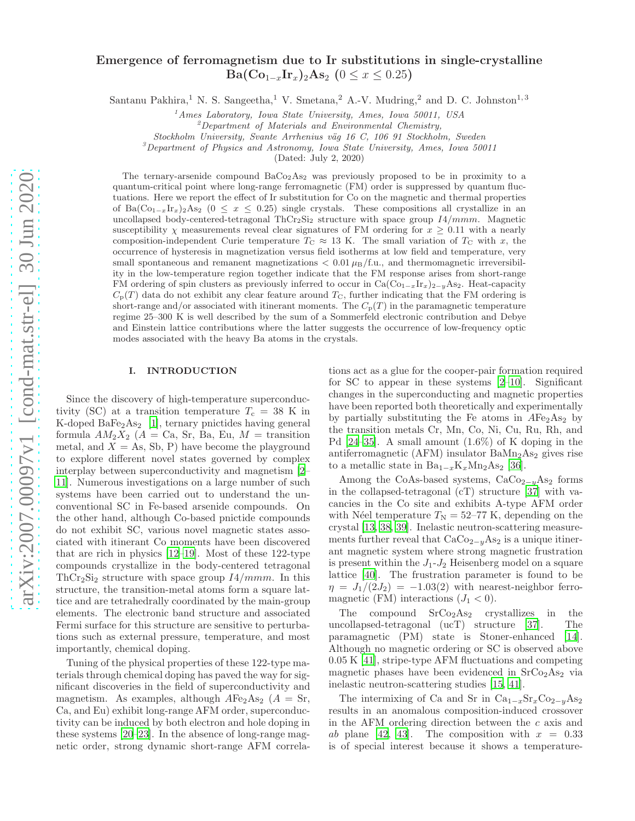# Emergence of ferromagnetism due to Ir substitutions in single-crystalline  $Ba(Co_{1-x}Ir_x)_2As_2 (0 \leq x \leq 0.25)$

Santanu Pakhira,<sup>1</sup> N. S. Sangeetha,<sup>1</sup> V. Smetana,<sup>2</sup> A.-V. Mudring,<sup>2</sup> and D. C. Johnston<sup>1,3</sup>

 $<sup>1</sup>$ Ames Laboratory, Iowa State University, Ames, Iowa 50011, USA</sup>

 ${}^{2}$ Department of Materials and Environmental Chemistry,

Stockholm University, Svante Arrhenius väg 16 C, 106 91 Stockholm, Sweden

 ${}^{3}$ Department of Physics and Astronomy, Iowa State University, Ames, Iowa 50011

(Dated: July 2, 2020)

The ternary-arsenide compound  $BaCo<sub>2</sub>As<sub>2</sub>$  was previously proposed to be in proximity to a quantum-critical point where long-range ferromagnetic (FM) order is suppressed by quantum fluctuations. Here we report the effect of Ir substitution for Co on the magnetic and thermal properties of Ba(Co<sub>1−x</sub>Ir<sub>x</sub>)<sub>2</sub>As<sub>2</sub> (0 ≤ x ≤ 0.25) single crystals. These compositions all crystallize in an uncollapsed body-centered-tetragonal  $ThCr<sub>2</sub>Si<sub>2</sub>$  structure with space group  $I4/mmm$ . Magnetic susceptibility  $\chi$  measurements reveal clear signatures of FM ordering for  $x > 0.11$  with a nearly composition-independent Curie temperature  $T_{\text{C}} \approx 13 \text{ K}$ . The small variation of  $T_{\text{C}}$  with x, the occurrence of hysteresis in magnetization versus field isotherms at low field and temperature, very small spontaneous and remanent magnetizations  $< 0.01 \mu_B/f.u.,$  and thermomagnetic irreversibility in the low-temperature region together indicate that the FM response arises from short-range FM ordering of spin clusters as previously inferred to occur in  $Ca(C_{01-x}Ir_x)_{2-y}As_2$ . Heat-capacity  $C_{\rm p}(T)$  data do not exhibit any clear feature around  $T_{\rm C}$ , further indicating that the FM ordering is short-range and/or associated with itinerant moments. The  $C_p(T)$  in the paramagnetic temperature regime 25–300 K is well described by the sum of a Sommerfeld electronic contribution and Debye and Einstein lattice contributions where the latter suggests the occurrence of low-frequency optic modes associated with the heavy Ba atoms in the crystals.

# I. INTRODUCTION

Since the discovery of high-temperature superconductivity (SC) at a transition temperature  $T_c = 38$  K in K-doped  $BaFe<sub>2</sub>As<sub>2</sub>$  [\[1\]](#page-9-0), ternary pnictides having general formula  $AM_2X_2$  ( $A = Ca$ , Sr, Ba, Eu,  $M =$  transition metal, and  $X = As$ , Sb, P) have become the playground to explore different novel states governed by complex interplay between superconductivity and magnetism [\[2](#page-9-1)– [11\]](#page-9-2). Numerous investigations on a large number of such systems have been carried out to understand the unconventional SC in Fe-based arsenide compounds. On the other hand, although Co-based pnictide compounds do not exhibit SC, various novel magnetic states associated with itinerant Co moments have been discovered that are rich in physics [\[12](#page-10-0)[–19\]](#page-10-1). Most of these 122-type compounds crystallize in the body-centered tetragonal  $ThCr<sub>2</sub>Si<sub>2</sub> structure with space group  $I4/mmm$ . In this$ structure, the transition-metal atoms form a square lattice and are tetrahedrally coordinated by the main-group elements. The electronic band structure and associated Fermi surface for this structure are sensitive to perturbations such as external pressure, temperature, and most importantly, chemical doping.

Tuning of the physical properties of these 122-type materials through chemical doping has paved the way for significant discoveries in the field of superconductivity and magnetism. As examples, although  $AFe<sub>2</sub>As<sub>2</sub>$  ( $A = Sr$ , Ca, and Eu) exhibit long-range AFM order, superconductivity can be induced by both electron and hole doping in these systems [\[20](#page-10-2)[–23\]](#page-10-3). In the absence of long-range magnetic order, strong dynamic short-range AFM correla-

tions act as a glue for the cooper-pair formation required for SC to appear in these systems [\[2](#page-9-1)[–10\]](#page-9-3). Significant changes in the superconducting and magnetic properties have been reported both theoretically and experimentally by partially substituting the Fe atoms in  $A\text{Fe}_2\text{As}_2$  by the transition metals Cr, Mn, Co, Ni, Cu, Ru, Rh, and Pd  $[24-35]$ . A small amount  $(1.6\%)$  of K doping in the antiferromagnetic (AFM) insulator  $BaMn<sub>2</sub>As<sub>2</sub>$  gives rise to a metallic state in  $Ba_{1-x}K_xMn_2As_2$  [\[36](#page-10-6)].

Among the CoAs-based systems,  $CaCo_{2-y}As_2$  forms in the collapsed-tetragonal (cT) structure [\[37\]](#page-10-7) with vacancies in the Co site and exhibits A-type AFM order with Néel temperature  $T_N = 52-77$  K, depending on the crystal [\[13,](#page-10-8) [38,](#page-11-0) [39](#page-11-1)]. Inelastic neutron-scattering measurements further reveal that  $CaCo_{2-y}As_2$  is a unique itinerant magnetic system where strong magnetic frustration is present within the  $J_1-J_2$  Heisenberg model on a square lattice [\[40\]](#page-11-2). The frustration parameter is found to be  $\eta = J_1/(2J_2) = -1.03(2)$  with nearest-neighbor ferromagnetic (FM) interactions  $(J_1 < 0)$ .

The compound  $SrCo<sub>2</sub>As<sub>2</sub>$  crystallizes in the uncollapsed-tetragonal (ucT) structure [\[37\]](#page-10-7). The paramagnetic (PM) state is Stoner-enhanced [\[14\]](#page-10-9). Although no magnetic ordering or SC is observed above 0.05 K [\[41\]](#page-11-3), stripe-type AFM fluctuations and competing magnetic phases have been evidenced in  $SrCo<sub>2</sub>As<sub>2</sub>$  via inelastic neutron-scattering studies [\[15](#page-10-10), [41\]](#page-11-3).

The intermixing of Ca and Sr in  $Ca_{1-x}Sr_xCo_{2-y}As_2$ results in an anomalous composition-induced crossover in the AFM ordering direction between the c axis and ab plane [\[42](#page-11-4), [43\]](#page-11-5). The composition with  $x = 0.33$ is of special interest because it shows a temperature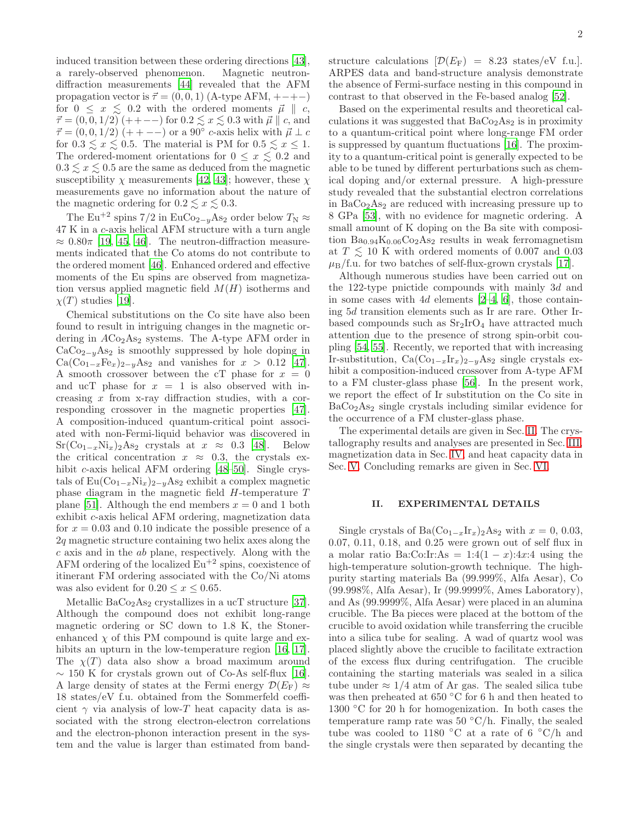induced transition between these ordering directions [\[43\]](#page-11-5), a rarely-observed phenomenon. Magnetic neutrondiffraction measurements [\[44\]](#page-11-6) revealed that the AFM propagation vector is  $\vec{\tau} = (0, 0, 1)$  (A-type AFM, +-+-) for  $0 \leq x \leq 0.2$  with the ordered moments  $\vec{\mu} \parallel c$ ,  $\vec{\tau} = (0, 0, 1/2) (++--)$  for  $0.2 \le x \le 0.3$  with  $\vec{\mu} \parallel c$ , and  $\vec{\tau} = (0, 0, 1/2)$  (+ + --) or a 90° c-axis helix with  $\vec{\mu} \perp c$ for  $0.3 \leq x \leq 0.5$ . The material is PM for  $0.5 \leq x \leq 1$ . The ordered-moment orientations for  $0 \le x \le 0.2$  and  $0.3 \lesssim x \lesssim 0.5$  are the same as deduced from the magnetic susceptibility  $\chi$  measurements [\[42](#page-11-4), [43\]](#page-11-5); however, these  $\chi$ measurements gave no information about the nature of the magnetic ordering for  $0.2 \lesssim x \lesssim 0.3$ .

The Eu<sup>+2</sup> spins 7/2 in EuCo<sub>2−y</sub>As<sub>2</sub> order below  $T_N \approx$ 47 K in a c-axis helical AFM structure with a turn angle  $\approx 0.80\pi$  [\[19,](#page-10-1) [45,](#page-11-7) [46\]](#page-11-8). The neutron-diffraction measurements indicated that the Co atoms do not contribute to the ordered moment [\[46\]](#page-11-8). Enhanced ordered and effective moments of the Eu spins are observed from magnetization versus applied magnetic field  $M(H)$  isotherms and  $\chi(T)$  studies [\[19\]](#page-10-1).

Chemical substitutions on the Co site have also been found to result in intriguing changes in the magnetic ordering in  $ACo<sub>2</sub>As<sub>2</sub>$  systems. The A-type AFM order in  $CaCo_{2-y}As_2$  is smoothly suppressed by hole doping in  $Ca(Co_{1-x}Fe_x)_{2-y}As_2$  and vanishes for  $x > 0.12$  [\[47\]](#page-11-9). A smooth crossover between the cT phase for  $x = 0$ and ucT phase for  $x = 1$  is also observed with increasing  $x$  from x-ray diffraction studies, with a corresponding crossover in the magnetic properties [\[47\]](#page-11-9). A composition-induced quantum-critical point associated with non-Fermi-liquid behavior was discovered in  $Sr(Co_{1-x}Ni_x)_2As_2$  crystals at  $x \approx 0.3$  [\[48\]](#page-11-10). Below the critical concentration  $x \approx 0.3$ , the crystals ex-hibit c-axis helical AFM ordering [\[48](#page-11-10)[–50](#page-11-11)]. Single crystals of  $Eu(Co_{1-x}Ni_x)_{2-y}As_2$  exhibit a complex magnetic phase diagram in the magnetic field H-temperature T plane [\[51](#page-11-12)]. Although the end members  $x = 0$  and 1 both exhibit c-axis helical AFM ordering, magnetization data for  $x = 0.03$  and 0.10 indicate the possible presence of a 2q magnetic structure containing two helix axes along the c axis and in the ab plane, respectively. Along with the AFM ordering of the localized  $\rm Eu^{+2}$  spins, coexistence of itinerant FM ordering associated with the Co/Ni atoms was also evident for  $0.20 \le x \le 0.65$ .

Metallic  $BaCo<sub>2</sub>As<sub>2</sub>$  crystallizes in a ucT structure [\[37\]](#page-10-7). Although the compound does not exhibit long-range magnetic ordering or SC down to 1.8 K, the Stonerenhanced  $\chi$  of this PM compound is quite large and ex-hibits an upturn in the low-temperature region [\[16](#page-10-11), [17\]](#page-10-12). The  $\chi(T)$  data also show a broad maximum around  $\sim$  150 K for crystals grown out of Co-As self-flux [\[16\]](#page-10-11). A large density of states at the Fermi energy  $\mathcal{D}(E_F) \approx$ 18 states/eV f.u. obtained from the Sommerfeld coefficient  $\gamma$  via analysis of low-T heat capacity data is associated with the strong electron-electron correlations and the electron-phonon interaction present in the system and the value is larger than estimated from bandstructure calculations  $[\mathcal{D}(E_F) = 8.23 \text{ states/eV f.u.}].$ ARPES data and band-structure analysis demonstrate the absence of Fermi-surface nesting in this compound in contrast to that observed in the Fe-based analog [\[52\]](#page-11-13).

Based on the experimental results and theoretical calculations it was suggested that  $BaCo<sub>2</sub>As<sub>2</sub>$  is in proximity to a quantum-critical point where long-range FM order is suppressed by quantum fluctuations [\[16](#page-10-11)]. The proximity to a quantum-critical point is generally expected to be able to be tuned by different perturbations such as chemical doping and/or external pressure. A high-pressure study revealed that the substantial electron correlations in  $BaCo<sub>2</sub>As<sub>2</sub>$  are reduced with increasing pressure up to 8 GPa [\[53\]](#page-11-14), with no evidence for magnetic ordering. A small amount of K doping on the Ba site with composition  $Ba_{0.94}K_{0.06}Co_2As_2$  results in weak ferromagnetism at  $T \lesssim 10$  K with ordered moments of 0.007 and 0.03  $\mu_{\rm B}/\text{f.u.}$  for two batches of self-flux-grown crystals [\[17\]](#page-10-12).

Although numerous studies have been carried out on the 122-type pnictide compounds with mainly 3d and in some cases with  $4d$  elements  $[2-4, 6]$  $[2-4, 6]$  $[2-4, 6]$ , those containing 5d transition elements such as Ir are rare. Other Irbased compounds such as  $Sr<sub>2</sub>IrO<sub>4</sub>$  have attracted much attention due to the presence of strong spin-orbit coupling [\[54](#page-11-15), [55\]](#page-11-16). Recently, we reported that with increasing Ir-substitution,  $Ca(Co_{1-x}Ir_x)_{2-y}As_2$  single crystals exhibit a composition-induced crossover from A-type AFM to a FM cluster-glass phase [\[56](#page-11-17)]. In the present work, we report the effect of Ir substitution on the Co site in  $BaCo<sub>2</sub>As<sub>2</sub>$  single crystals including similar evidence for the occurrence of a FM cluster-glass phase.

The experimental details are given in Sec. [II.](#page-1-0) The crystallography results and analyses are presented in Sec. [III,](#page-2-0) magnetization data in Sec. [IV,](#page-2-1) and heat capacity data in Sec. [V.](#page-5-0) Concluding remarks are given in Sec. [VI.](#page-9-6)

#### <span id="page-1-0"></span>II. EXPERIMENTAL DETAILS

Single crystals of Ba $(\text{Co}_{1-x}\text{Ir}_x)_2\text{As}_2$  with  $x = 0, 0.03$ , 0.07, 0.11, 0.18, and 0.25 were grown out of self flux in a molar ratio Ba:Co:Ir:As =  $1:4(1-x):4x:4$  using the high-temperature solution-growth technique. The highpurity starting materials Ba (99.999%, Alfa Aesar), Co (99.998%, Alfa Aesar), Ir (99.9999%, Ames Laboratory), and As (99.9999%, Alfa Aesar) were placed in an alumina crucible. The Ba pieces were placed at the bottom of the crucible to avoid oxidation while transferring the crucible into a silica tube for sealing. A wad of quartz wool was placed slightly above the crucible to facilitate extraction of the excess flux during centrifugation. The crucible containing the starting materials was sealed in a silica tube under  $\approx 1/4$  atm of Ar gas. The sealed silica tube was then preheated at 650 ◦C for 6 h and then heated to 1300 ◦C for 20 h for homogenization. In both cases the temperature ramp rate was  $50 °C/h$ . Finally, the sealed tube was cooled to 1180 °C at a rate of 6 °C/h and the single crystals were then separated by decanting the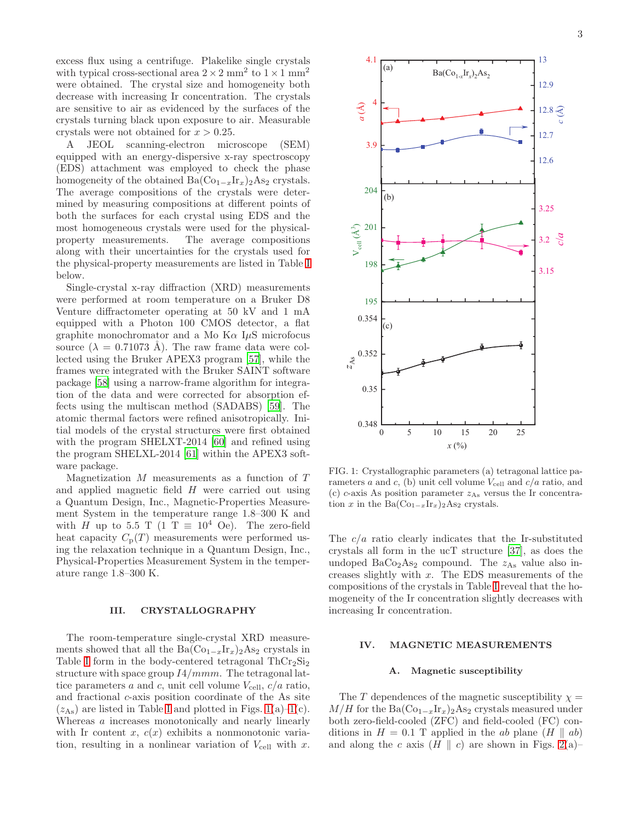excess flux using a centrifuge. Plakelike single crystals with typical cross-sectional area  $2 \times 2$  mm<sup>2</sup> to  $1 \times 1$  mm<sup>2</sup> were obtained. The crystal size and homogeneity both decrease with increasing Ir concentration. The crystals are sensitive to air as evidenced by the surfaces of the crystals turning black upon exposure to air. Measurable crystals were not obtained for  $x > 0.25$ .

A JEOL scanning-electron microscope (SEM) equipped with an energy-dispersive x-ray spectroscopy (EDS) attachment was employed to check the phase homogeneity of the obtained  $Ba(Co_{1-x}Ir_x)_{2}As_2$  crystals. The average compositions of the crystals were determined by measuring compositions at different points of both the surfaces for each crystal using EDS and the most homogeneous crystals were used for the physicalproperty measurements. The average compositions along with their uncertainties for the crystals used for the physical-property measurements are listed in Table [I](#page-3-0) below.

Single-crystal x-ray diffraction (XRD) measurements were performed at room temperature on a Bruker D8 Venture diffractometer operating at 50 kV and 1 mA equipped with a Photon 100 CMOS detector, a flat graphite monochromator and a Mo K $\alpha$  I $\mu$ S microfocus source  $(\lambda = 0.71073 \text{ Å})$ . The raw frame data were collected using the Bruker APEX3 program [\[57\]](#page-11-18), while the frames were integrated with the Bruker SAINT software package [\[58\]](#page-11-19) using a narrow-frame algorithm for integration of the data and were corrected for absorption effects using the multiscan method (SADABS) [\[59\]](#page-11-20). The atomic thermal factors were refined anisotropically. Initial models of the crystal structures were first obtained with the program SHELXT-2014 [\[60](#page-11-21)] and refined using the program SHELXL-2014 [\[61\]](#page-11-22) within the APEX3 software package.

Magnetization  $M$  measurements as a function of  $T$ and applied magnetic field  $H$  were carried out using a Quantum Design, Inc., Magnetic-Properties Measurement System in the temperature range 1.8–300 K and with H up to 5.5 T (1 T  $\equiv$  10<sup>4</sup> Oe). The zero-field heat capacity  $C_p(T)$  measurements were performed using the relaxation technique in a Quantum Design, Inc., Physical-Properties Measurement System in the temperature range 1.8–300 K.

### <span id="page-2-0"></span>III. CRYSTALLOGRAPHY

The room-temperature single-crystal XRD measurements showed that all the Ba $(Co_{1-x}Ir_x)$ <sub>2</sub>As<sub>2</sub> crystals in Table [I](#page-3-0) form in the body-centered tetragonal  $ThCr<sub>2</sub>Si<sub>2</sub>$ structure with space group  $I4/mmm$ . The tetragonal lattice parameters a and c, unit cell volume  $V_{\text{cell}}$ ,  $c/a$  ratio, and fractional c-axis position coordinate of the As site  $(z_{\text{As}})$  are listed in Table [I](#page-3-0) and plotted in Figs. [1\(](#page-2-2)a)[–1\(](#page-2-2)c). Whereas a increases monotonically and nearly linearly with Ir content x,  $c(x)$  exhibits a nonmonotonic variation, resulting in a nonlinear variation of  $V_{\text{cell}}$  with x.



<span id="page-2-2"></span>FIG. 1: Crystallographic parameters (a) tetragonal lattice parameters a and c, (b) unit cell volume  $V_{\text{cell}}$  and  $c/a$  ratio, and (c) c-axis As position parameter  $z_{As}$  versus the Ir concentration x in the Ba $(\text{Co}_{1-x}\text{Ir}_x)_2\text{As}_2$  crystals.

The  $c/a$  ratio clearly indicates that the Ir-substituted crystals all form in the ucT structure [\[37\]](#page-10-7), as does the undoped  $BaCo<sub>2</sub>As<sub>2</sub>$  compound. The  $z<sub>As</sub>$  value also increases slightly with  $x$ . The EDS measurements of the compositions of the crystals in Table [I](#page-3-0) reveal that the homogeneity of the Ir concentration slightly decreases with increasing Ir concentration.

### <span id="page-2-1"></span>IV. MAGNETIC MEASUREMENTS

# A. Magnetic susceptibility

The T dependences of the magnetic susceptibility  $\chi =$  $M/H$  for the Ba $(\text{Co}_{1-x}\text{Ir}_x)_2\text{As}_2$  crystals measured under both zero-field-cooled (ZFC) and field-cooled (FC) conditions in  $H = 0.1$  T applied in the ab plane  $(H \parallel ab)$ and along the c axis  $(H \parallel c)$  are shown in Figs. [2\(](#page-3-1)a)–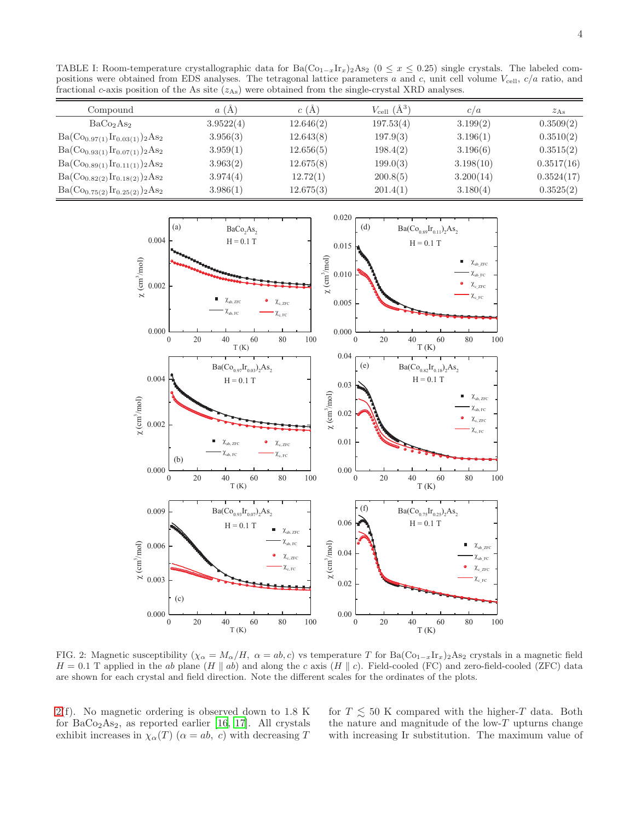<span id="page-3-0"></span>TABLE I: Room-temperature crystallographic data for Ba( $Co_{1-x}Ir_x$ )<sub>2</sub>As<sub>2</sub> (0 ≤ x ≤ 0.25) single crystals. The labeled compositions were obtained from EDS analyses. The tetragonal lattice parameters a and c, unit cell volume  $V_{\text{cell}}$ ,  $c/a$  ratio, and fractional c-axis position of the As site  $(z_{\text{As}})$  were obtained from the single-crystal XRD analyses.

| Compound                             | a(A)      | c(A)      | $V_{\text{cell}}(\AA^3)$ | c/a       | $z_{\rm As}$ |
|--------------------------------------|-----------|-----------|--------------------------|-----------|--------------|
| BaCo <sub>2</sub> As <sub>2</sub>    | 3.9522(4) | 12.646(2) | 197.53(4)                | 3.199(2)  | 0.3509(2)    |
| $Ba(Co_{0.97(1)}Ir_{0.03(1)})_2As_2$ | 3.956(3)  | 12.643(8) | 197.9(3)                 | 3.196(1)  | 0.3510(2)    |
| $Ba(Co_{0.93(1)}Ir_{0.07(1)})_2As_2$ | 3.959(1)  | 12.656(5) | 198.4(2)                 | 3.196(6)  | 0.3515(2)    |
| $Ba(Co_{0.89(1)}Ir_{0.11(1)})_2As_2$ | 3.963(2)  | 12.675(8) | 199.0(3)                 | 3.198(10) | 0.3517(16)   |
| $Ba(Co_{0.82(2)}Ir_{0.18(2)})_2As_2$ | 3.974(4)  | 12.72(1)  | 200.8(5)                 | 3.200(14) | 0.3524(17)   |
| $Ba(Co_{0.75(2)}Ir_{0.25(2)})_2As_2$ | 3.986(1)  | 12.675(3) | 201.4(1)                 | 3.180(4)  | 0.3525(2)    |



<span id="page-3-1"></span>FIG. 2: Magnetic susceptibility ( $\chi_{\alpha} = M_{\alpha}/H$ ,  $\alpha = ab, c$ ) vs temperature T for Ba(Co<sub>1-x</sub>Ir<sub>x</sub>)<sub>2</sub>As<sub>2</sub> crystals in a magnetic field  $H = 0.1$  T applied in the ab plane (H || ab) and along the c axis (H || c). Field-cooled (FC) and zero-field-cooled (ZFC) data are shown for each crystal and field direction. Note the different scales for the ordinates of the plots.

[2\(](#page-3-1)f). No magnetic ordering is observed down to 1.8 K for  $BaCo<sub>2</sub>As<sub>2</sub>$ , as reported earlier [\[16,](#page-10-11) [17\]](#page-10-12). All crystals exhibit increases in  $\chi_{\alpha}(T)$   $(\alpha = ab, c)$  with decreasing T

for  $T \lesssim 50$  K compared with the higher-T data. Both the nature and magnitude of the low- $T$  upturns change with increasing Ir substitution. The maximum value of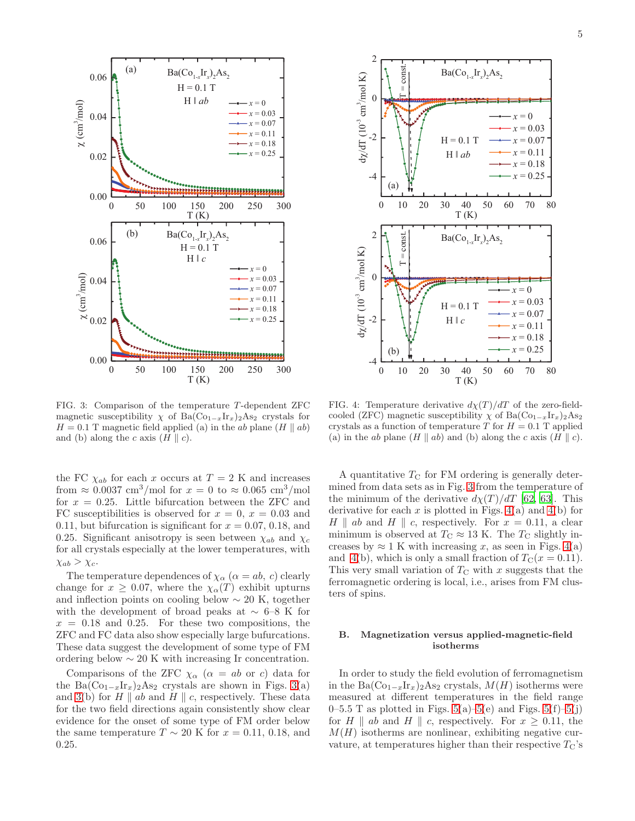

<span id="page-4-0"></span>FIG. 3: Comparison of the temperature T -dependent ZFC magnetic susceptibility  $\chi$  of Ba(Co<sub>1−x</sub>Ir<sub>x</sub>)<sub>2</sub>As<sub>2</sub> crystals for  $H = 0.1$  T magnetic field applied (a) in the ab plane (H || ab) and (b) along the c axis  $(H \parallel c)$ .

the FC  $\chi_{ab}$  for each x occurs at  $T = 2$  K and increases from  $\approx 0.0037 \text{ cm}^3/\text{mol}$  for  $x = 0$  to  $\approx 0.065 \text{ cm}^3/\text{mol}$ for  $x = 0.25$ . Little bifurcation between the ZFC and FC susceptibilities is observed for  $x = 0$ ,  $x = 0.03$  and 0.11, but bifurcation is significant for  $x = 0.07, 0.18,$  and 0.25. Significant anisotropy is seen between  $\chi_{ab}$  and  $\chi_c$ for all crystals especially at the lower temperatures, with  $\chi_{ab} > \chi_c$ .

The temperature dependences of  $\chi_{\alpha}$  ( $\alpha = ab, c$ ) clearly change for  $x \geq 0.07$ , where the  $\chi_{\alpha}(T)$  exhibit upturns and inflection points on cooling below  $\sim 20$  K, together with the development of broad peaks at  $\sim 6-8$  K for  $x = 0.18$  and 0.25. For these two compositions, the ZFC and FC data also show especially large bufurcations. These data suggest the development of some type of FM ordering below  $\sim 20$  K with increasing Ir concentration.

Comparisons of the ZFC  $\chi_{\alpha}$  ( $\alpha = ab$  or c) data for the Ba $(Co_{1-x}Ir_x)_{2}As_2$  crystals are shown in Figs. [3\(](#page-4-0)a) and [3\(](#page-4-0)b) for H || ab and H || c, respectively. These data for the two field directions again consistently show clear evidence for the onset of some type of FM order below the same temperature  $T \sim 20$  K for  $x = 0.11, 0.18,$  and 0.25.



<span id="page-4-1"></span>FIG. 4: Temperature derivative  $d\chi(T)/dT$  of the zero-fieldcooled (ZFC) magnetic susceptibility  $\chi$  of Ba(Co<sub>1−x</sub>Ir<sub>x</sub>)<sub>2</sub>As<sub>2</sub> crystals as a function of temperature T for  $H = 0.1$  T applied (a) in the ab plane  $(H \parallel ab)$  and (b) along the c axis  $(H \parallel c)$ .

A quantitative  $T_{\rm C}$  for FM ordering is generally determined from data sets as in Fig. [3](#page-4-0) from the temperature of the minimum of the derivative  $d\chi(T)/dT$  [\[62](#page-11-23), [63\]](#page-11-24). This derivative for each x is plotted in Figs.  $4(a)$  and  $4(b)$  for H || ab and H || c, respectively. For  $x = 0.11$ , a clear minimum is observed at  $T_{\rm C} \approx 13$  K. The  $T_{\rm C}$  slightly increases by  $\approx 1$  K with increasing x, as seen in Figs. [4\(](#page-4-1)a) and [4\(](#page-4-1)b), which is only a small fraction of  $T_{\rm C}(x=0.11)$ . This very small variation of  $T_{\rm C}$  with x suggests that the ferromagnetic ordering is local, i.e., arises from FM clusters of spins.

### B. Magnetization versus applied-magnetic-field isotherms

In order to study the field evolution of ferromagnetism in the Ba $(\text{Co}_{1-x}\text{Ir}_x)_2\text{As}_2$  crystals,  $M(H)$  isotherms were measured at different temperatures in the field range 0–5.5 T as plotted in Figs.  $5(a)$ [–5\(](#page-5-1)e) and Figs.  $5(f)$ –5(j) for H || ab and H || c, respectively. For  $x \geq 0.11$ , the  $M(H)$  isotherms are nonlinear, exhibiting negative curvature, at temperatures higher than their respective  $T_{\rm C}$ 's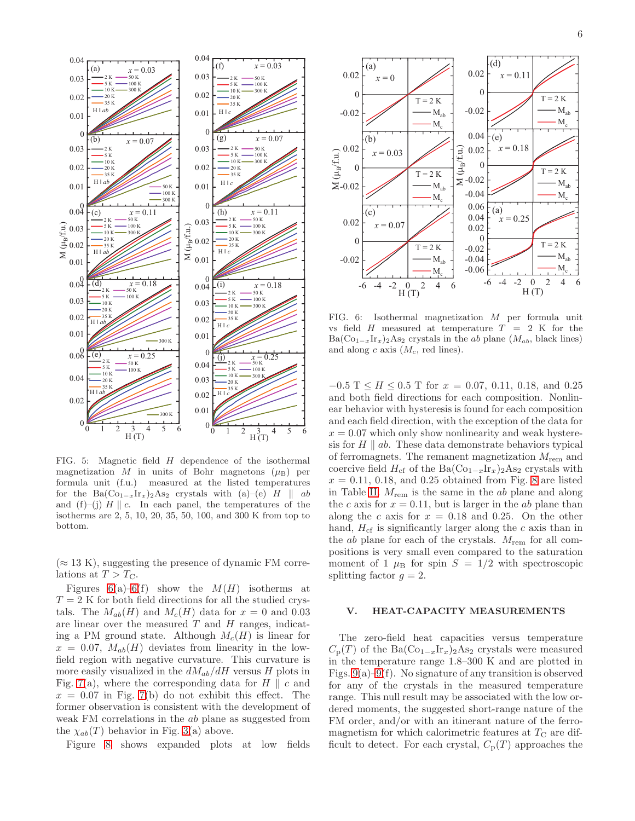

<span id="page-5-1"></span>FIG. 5: Magnetic field H dependence of the isothermal magnetization M in units of Bohr magnetons  $(\mu_B)$  per formula unit (f.u.) measured at the listed temperatures for the Ba( $\text{Co}_{1-x}\text{Ir}_x$ )<sub>2</sub>As<sub>2</sub> crystals with (a)–(e) H || ab and (f)–(j)  $H \parallel c$ . In each panel, the temperatures of the isotherms are 2, 5, 10, 20, 35, 50, 100, and 300 K from top to bottom.

 $(\approx 13 \text{ K})$ , suggesting the presence of dynamic FM correlations at  $T > T_{\rm C}$ .

Figures  $6(a)-6(f)$  show the  $M(H)$  isotherms at  $T = 2$  K for both field directions for all the studied crystals. The  $M_{ab}(H)$  and  $M_c(H)$  data for  $x = 0$  and 0.03 are linear over the measured  $T$  and  $H$  ranges, indicating a PM ground state. Although  $M_c(H)$  is linear for  $x = 0.07$ ,  $M_{ab}(H)$  deviates from linearity in the lowfield region with negative curvature. This curvature is more easily visualized in the  $dM_{ab}/dH$  versus H plots in Fig. [7\(](#page-6-0)a), where the corresponding data for  $H \parallel c$  and  $x = 0.07$  in Fig. [7\(](#page-6-0)b) do not exhibit this effect. The former observation is consistent with the development of weak FM correlations in the ab plane as suggested from the  $\chi_{ab}(T)$  behavior in Fig. [3\(](#page-4-0)a) above.

Figure [8](#page-6-1) shows expanded plots at low fields



<span id="page-5-2"></span>FIG. 6: Isothermal magnetization M per formula unit vs field H measured at temperature  $T = 2$  K for the  $Ba(Co_{1-x}Ir_{x})_2As_2$  crystals in the ab plane  $(M_{ab},$  black lines) and along c axis  $(M_c, \text{ red lines}).$ 

 $-0.5$  T  $\leq H \leq 0.5$  T for  $x = 0.07, 0.11, 0.18,$  and 0.25 and both field directions for each composition. Nonlinear behavior with hysteresis is found for each composition and each field direction, with the exception of the data for  $x = 0.07$  which only show nonlinearity and weak hysteresis for  $H \parallel ab$ . These data demonstrate behaviors typical of ferromagnets. The remanent magnetization  $M_{\text{rem}}$  and coercive field  $H_{cf}$  of the Ba( $\text{Co}_{1-x}\text{Ir}_x$ )<sub>2</sub>As<sub>2</sub> crystals with  $x = 0.11, 0.18,$  and 0.25 obtained from Fig. [8](#page-6-1) are listed in Table [II.](#page-6-2)  $M_{\text{rem}}$  is the same in the  $ab$  plane and along the c axis for  $x = 0.11$ , but is larger in the ab plane than along the c axis for  $x = 0.18$  and 0.25. On the other hand,  $H_{\rm cf}$  is significantly larger along the c axis than in the  $ab$  plane for each of the crystals.  $M_{\text{rem}}$  for all compositions is very small even compared to the saturation moment of 1  $\mu$ B for spin  $S = 1/2$  with spectroscopic splitting factor  $q = 2$ .

#### <span id="page-5-0"></span>V. HEAT-CAPACITY MEASUREMENTS

The zero-field heat capacities versus temperature  $C_p(T)$  of the Ba $(\text{Co}_{1-x}\text{Ir}_x)_2\text{As}_2$  crystals were measured in the temperature range 1.8–300 K and are plotted in Figs.  $9(a)-9(f)$ . No signature of any transition is observed for any of the crystals in the measured temperature range. This null result may be associated with the low ordered moments, the suggested short-range nature of the FM order, and/or with an itinerant nature of the ferromagnetism for which calorimetric features at  $T_{\rm C}$  are difficult to detect. For each crystal,  $C_p(T)$  approaches the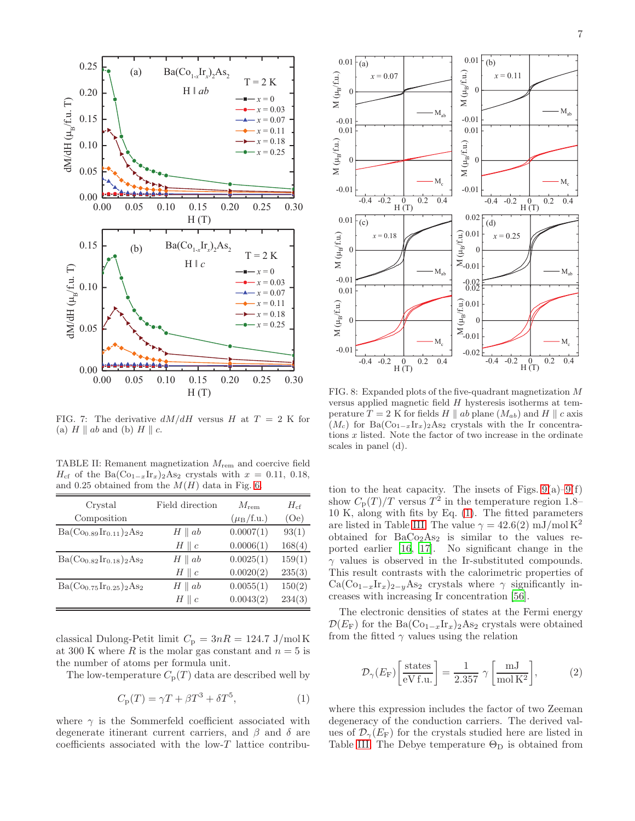

<span id="page-6-0"></span>FIG. 7: The derivative  $dM/dH$  versus H at  $T = 2$  K for (a)  $H \parallel ab$  and (b)  $H \parallel c$ .

<span id="page-6-2"></span>TABLE II: Remanent magnetization Mrem and coercive field  $H_{\rm cf}$  of the Ba( $\rm Co_{1-x}Ir_x)_{2}As_2$  crystals with  $x = 0.11, 0.18$ , and 0.25 obtained from the  $M(H)$  data in Fig. [6.](#page-5-2)

| Crystal                        | Field direction  | $M_{\rm rem}$                 | $H_{\rm cf}$ |
|--------------------------------|------------------|-------------------------------|--------------|
| Composition                    |                  | $(\mu_{\rm B}/\mathrm{f.u.})$ | (Oe)         |
| $Ba(Co_{0.89}Ir_{0.11})_2As_2$ | $H \parallel ab$ | 0.0007(1)                     | 93(1)        |
|                                | $H \parallel c$  | 0.0006(1)                     | 168(4)       |
| $Ba(Co_{0.82}Ir_{0.18})_2As_2$ | $H \parallel ab$ | 0.0025(1)                     | 159(1)       |
|                                | $H \parallel c$  | 0.0020(2)                     | 235(3)       |
| $Ba(Co_{0.75}Ir_{0.25})_2As_2$ | $H \parallel ab$ | 0.0055(1)                     | 150(2)       |
|                                | $H \parallel c$  | 0.0043(2)                     | 234(3)       |

classical Dulong-Petit limit  $C_p = 3nR = 124.7 \text{ J/mol K}$ at 300 K where R is the molar gas constant and  $n = 5$  is the number of atoms per formula unit.

The low-temperature  $C_p(T)$  data are described well by

<span id="page-6-3"></span>
$$
C_{\mathbf{p}}(T) = \gamma T + \beta T^3 + \delta T^5,\tag{1}
$$

where  $\gamma$  is the Sommerfeld coefficient associated with degenerate itinerant current carriers, and  $\beta$  and  $\delta$  are coefficients associated with the low-T lattice contribu-



<span id="page-6-1"></span>FIG. 8: Expanded plots of the five-quadrant magnetization M versus applied magnetic field H hysteresis isotherms at temperature  $T = 2$  K for fields H || ab plane  $(M_{ab})$  and H || c axis  $(M_c)$  for Ba $(\text{Co}_{1-x}\text{Ir}_x)_2\text{As}_2$  crystals with the Ir concentrations x listed. Note the factor of two increase in the ordinate scales in panel (d).

tion to the heat capacity. The insets of Figs.  $9(a)-9(f)$ show  $C_{\rm p}(T)/T$  versus  $T^2$  in the temperature region 1.8– 10 K, along with fits by Eq. [\(1\)](#page-6-3). The fitted parameters are listed in Table [III.](#page-7-1) The value  $\gamma = 42.6(2)$  mJ/mol K<sup>2</sup> obtained for  $BaCo<sub>2</sub>As<sub>2</sub>$  is similar to the values reported earlier [\[16,](#page-10-11) [17\]](#page-10-12). No significant change in the  $\gamma$  values is observed in the Ir-substituted compounds. This result contrasts with the calorimetric properties of  $Ca(Co_{1-x}Ir_{x})_{2-y}As_{2}$  crystals where  $\gamma$  significantly increases with increasing Ir concentration [\[56\]](#page-11-17).

The electronic densities of states at the Fermi energy  $\mathcal{D}(E_{\rm F})$  for the Ba( $\text{Co}_{1-x}\text{Ir}_x$ )<sub>2</sub>As<sub>2</sub> crystals were obtained from the fitted  $\gamma$  values using the relation

<span id="page-6-4"></span>
$$
\mathcal{D}_{\gamma}(E_{\rm F}) \left[ \frac{\text{states}}{\text{eV f.u.}} \right] = \frac{1}{2.357} \gamma \left[ \frac{\text{mJ}}{\text{mol K}^2} \right],\tag{2}
$$

where this expression includes the factor of two Zeeman degeneracy of the conduction carriers. The derived values of  $\mathcal{D}_{\gamma}(E_{\rm F})$  for the crystals studied here are listed in Table [III.](#page-7-1) The Debye temperature  $\Theta_{\text{D}}$  is obtained from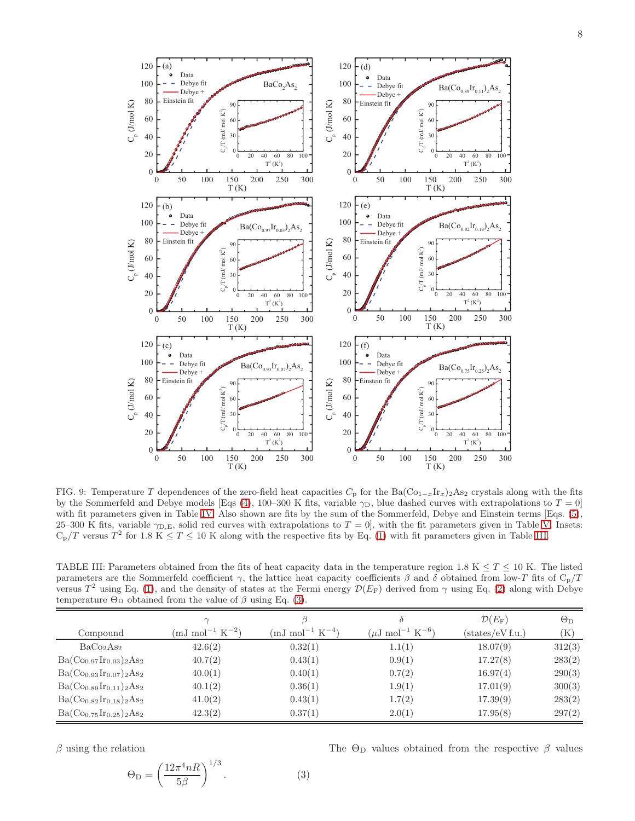

<span id="page-7-0"></span>FIG. 9: Temperature T dependences of the zero-field heat capacities  $C_p$  for the Ba( $\text{Co}_{1-x}\text{Ir}_x$ )<sub>2</sub>As<sub>2</sub> crystals along with the fits by the Sommerfeld and Debye models [Eqs [\(4\)](#page-8-0), 100–300 K fits, variable  $\gamma_D$ , blue dashed curves with extrapolations to  $T = 0$ ] with fit parameters given in Table [IV.](#page-8-1) Also shown are fits by the sum of the Sommerfeld, Debye and Einstein terms [Eqs. [\(5\)](#page-9-7), 25–300 K fits, variable  $\gamma_{D,E}$ , solid red curves with extrapolations to  $T = 0$ , with the fit parameters given in Table [V.](#page-8-2) Insets:  $\rm C_p/T$  versus  $T^2$  for 1.8 K  $\leq T \leq 10$  K along with the respective fits by Eq. [\(1\)](#page-6-3) with fit parameters given in Table [III.](#page-7-1)

<span id="page-7-1"></span>TABLE III: Parameters obtained from the fits of heat capacity data in the temperature region 1.8 K  $\leq T \leq 10$  K. The listed parameters are the Sommerfeld coefficient  $\gamma$ , the lattice heat capacity coefficients  $\beta$  and  $\delta$  obtained from low-T fits of C<sub>p</sub>/T versus  $T^2$  using Eq. [\(1\)](#page-6-3), and the density of states at the Fermi energy  $\mathcal{D}(E_F)$  derived from  $\gamma$  using Eq. [\(2\)](#page-6-4) along with Debye temperature  $\Theta_{\text{D}}$  obtained from the value of  $\beta$  using Eq. [\(3\)](#page-7-2).

|                                   | $\sim$                         |                                       |                                           | $\mathcal{D}(E_{\mathrm{F}})$ | $\Theta_{\rm D}$ |
|-----------------------------------|--------------------------------|---------------------------------------|-------------------------------------------|-------------------------------|------------------|
| Compound                          | $\rm (mJ \ mol^{-1} \ K^{-2})$ | $\text{(mJ mol}^{-1} \text{ K}^{-4})$ | $(\mu J \text{ mol}^{-1} \text{ K}^{-6})$ | $(\text{states/eV f.u.})$     | $(\mathrm{K})$   |
| BaCo <sub>2</sub> As <sub>2</sub> | 42.6(2)                        | 0.32(1)                               | 1.1(1)                                    | 18.07(9)                      | 312(3)           |
| $Ba(Co_{0.97}Ir_{0.03})_2As_2$    | 40.7(2)                        | 0.43(1)                               | 0.9(1)                                    | 17.27(8)                      | 283(2)           |
| $Ba(Co_{0.93}Ir_{0.07})_2As_2$    | 40.0(1)                        | 0.40(1)                               | 0.7(2)                                    | 16.97(4)                      | 290(3)           |
| $Ba(Co_{0.89}Ir_{0.11})_2As_2$    | 40.1(2)                        | 0.36(1)                               | 1.9(1)                                    | 17.01(9)                      | 300(3)           |
| $Ba(Co_{0.82}Ir_{0.18})_2As_2$    | 41.0(2)                        | 0.43(1)                               | 1.7(2)                                    | 17.39(9)                      | 283(2)           |
| $Ba(Co_{0.75}Ir_{0.25})_2As_2$    | 42.3(2)                        | 0.37(1)                               | 2.0(1)                                    | 17.95(8)                      | 297(2)           |

 $\beta$  using the relation

<span id="page-7-2"></span>
$$
\Theta_{\rm D} = \left(\frac{12\pi^4 nR}{5\beta}\right)^{1/3}.\tag{3}
$$

The  $\Theta_{\text{D}}$  values obtained from the respective  $\beta$  values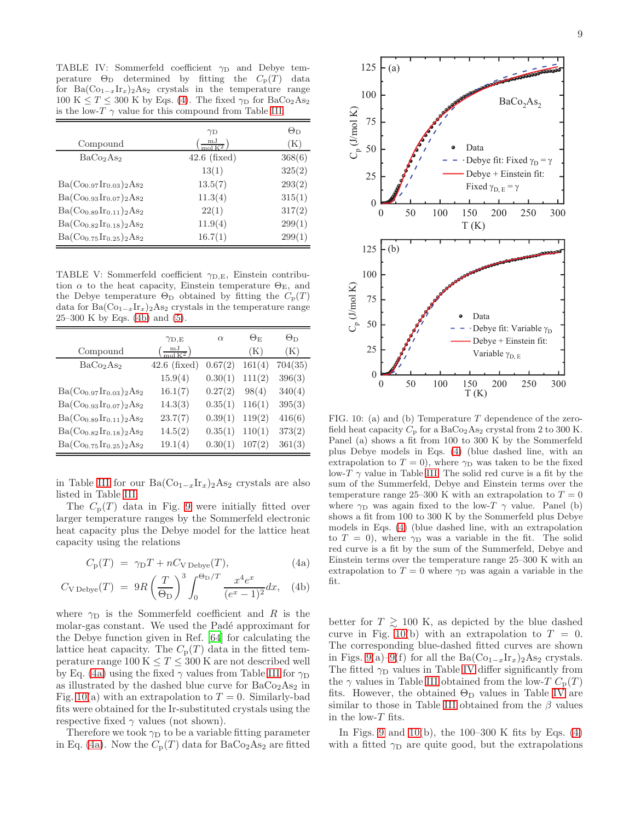<span id="page-8-1"></span>TABLE IV: Sommerfeld coefficient  $\gamma_D$  and Debye temperature  $\Theta_{\text{D}}$  determined by fitting the  $C_{\text{p}}(T)$  data for Ba $(\text{Co}_{1-x}\text{Ir}_x)_2$ As<sub>2</sub> crystals in the temperature range 100 K  $\leq T \leq 300$  K by Eqs. [\(4\)](#page-8-0). The fixed  $\gamma_D$  for BaCo<sub>2</sub>As<sub>2</sub> is the low-T  $\gamma$  value for this compound from Table [III.](#page-7-1)

|                                   | $\gamma_{\rm D}$                           | $\Theta_{\rm D}$ |
|-----------------------------------|--------------------------------------------|------------------|
| Compound                          | $\frac{\text{mJ}}{\text{mol}\,\text{K}^2}$ | (K)              |
| BaCo <sub>2</sub> As <sub>2</sub> | $42.6$ (fixed)                             | 368(6)           |
|                                   | 13(1)                                      | 325(2)           |
| $Ba(Co_{0.97}Ir_{0.03})_2As_2$    | 13.5(7)                                    | 293(2)           |
| $Ba(Co_{0.93}Ir_{0.07})_2As_2$    | 11.3(4)                                    | 315(1)           |
| $Ba(Co_{0.89}Ir_{0.11})_2As_2$    | 22(1)                                      | 317(2)           |
| $Ba(Co_{0.82}Ir_{0.18})_2As_2$    | 11.9(4)                                    | 299(1)           |
| $Ba(Co_{0.75}Ir_{0.25})_2As_2$    | 16.7(1)                                    | 299(1)           |

<span id="page-8-2"></span>TABLE V: Sommerfeld coefficient  $\gamma_{D,E}$ , Einstein contribution  $\alpha$  to the heat capacity, Einstein temperature  $\Theta_{\rm E}$ , and the Debye temperature  $\Theta_{\text{D}}$  obtained by fitting the  $C_{\text{p}}(T)$ data for Ba $(\text{Co}_{1-x}Ir_x)$ <sub>2</sub>As<sub>2</sub> crystals in the temperature range 25–300 K by Eqs. [\(4b\)](#page-8-3) and [\(5\)](#page-9-7).

|                                   | $\gamma_{\rm D,E}$                 | $\alpha$ | $\Theta_{\rm E}$ | $\Theta_{\rm D}$ |
|-----------------------------------|------------------------------------|----------|------------------|------------------|
| Compound                          | $\left(\frac{mJ}{mol\,K^2}\right)$ |          | (K)              | (K)              |
| BaCo <sub>2</sub> As <sub>2</sub> | $42.6$ (fixed)                     | 0.67(2)  | 161(4)           | 704(35)          |
|                                   | 15.9(4)                            | 0.30(1)  | 111(2)           | 396(3)           |
| $Ba(Co_{0.97}Ir_{0.03})_2As_2$    | 16.1(7)                            | 0.27(2)  | 98(4)            | 340(4)           |
| $Ba(Co_{0.93}Ir_{0.07})_2As_2$    | 14.3(3)                            | 0.35(1)  | 116(1)           | 395(3)           |
| $Ba(Co_{0.89}Ir_{0.11})_2As_2$    | 23.7(7)                            | 0.39(1)  | 119(2)           | 416(6)           |
| $Ba(Co_{0.82}Ir_{0.18})_2As_2$    | 14.5(2)                            | 0.35(1)  | 110(1)           | 373(2)           |
| $Ba(Co_{0.75}Ir_{0.25})_2As_2$    | 19.1(4)                            | 0.30(1)  | 107(2)           | 361(3)           |

in Table [III](#page-7-1) for our Ba $(\text{Co}_{1-x}\text{Ir}_x)_2\text{As}_2$  crystals are also listed in Table [III.](#page-7-1)

The  $C_p(T)$  data in Fig. [9](#page-7-0) were initially fitted over larger temperature ranges by the Sommerfeld electronic heat capacity plus the Debye model for the lattice heat capacity using the relations

<span id="page-8-3"></span><span id="page-8-0"></span>
$$
C_{\rm p}(T) = \gamma_{\rm D}T + nC_{\rm V\,Debye}(T),\tag{4a}
$$

$$
C_{\text{V Debye}}(T) = 9R\left(\frac{T}{\Theta_{\text{D}}}\right)^3 \int_0^{\Theta_{\text{D}}/T} \frac{x^4 e^x}{(e^x - 1)^2} dx, \quad \text{(4b)}
$$

where  $\gamma_D$  is the Sommerfeld coefficient and R is the molar-gas constant. We used the Padé approximant for the Debye function given in Ref. [\[64\]](#page-11-25) for calculating the lattice heat capacity. The  $C_p(T)$  data in the fitted temperature range 100 K  $\leq T \leq 300$  K are not described well by Eq. [\(4a\)](#page-8-3) using the fixed  $\gamma$  values from Table [III](#page-7-1) for  $\gamma_D$ as illustrated by the dashed blue curve for  $BaCo<sub>2</sub>As<sub>2</sub>$  in Fig. [10\(](#page-8-4)a) with an extrapolation to  $T = 0$ . Similarly-bad fits were obtained for the Ir-substituted crystals using the respective fixed  $\gamma$  values (not shown).

Therefore we took  $\gamma_D$  to be a variable fitting parameter in Eq. [\(4a\)](#page-8-3). Now the  $C_p(T)$  data for BaCo<sub>2</sub>As<sub>2</sub> are fitted



<span id="page-8-4"></span>FIG. 10: (a) and (b) Temperature T dependence of the zerofield heat capacity  $C_p$  for a BaCo<sub>2</sub>As<sub>2</sub> crystal from 2 to 300 K. Panel (a) shows a fit from 100 to 300 K by the Sommerfeld plus Debye models in Eqs. [\(4\)](#page-8-0) (blue dashed line, with an extrapolation to  $T = 0$ , where  $\gamma_D$  was taken to be the fixed low-T  $\gamma$  value in Table [III.](#page-7-1) The solid red curve is a fit by the sum of the Summerfeld, Debye and Einstein terms over the temperature range 25–300 K with an extrapolation to  $T = 0$ where  $\gamma_D$  was again fixed to the low-T  $\gamma$  value. Panel (b) shows a fit from 100 to 300 K by the Sommerfeld plus Debye models in Eqs. [\(4\)](#page-8-0) (blue dashed line, with an extrapolation to  $T = 0$ , where  $\gamma_D$  was a variable in the fit. The solid red curve is a fit by the sum of the Summerfeld, Debye and Einstein terms over the temperature range 25–300 K with an extrapolation to  $T = 0$  where  $\gamma_D$  was again a variable in the fit.

better for  $T \ge 100$  K, as depicted by the blue dashed curve in Fig. [10\(](#page-8-4)b) with an extrapolation to  $T = 0$ . The corresponding blue-dashed fitted curves are shown in Figs. [9\(](#page-7-0)a)[–9\(](#page-7-0)f) for all the Ba $(\text{Co}_{1-x}\text{Ir}_x)_2\text{As}_2$  crystals. The fitted  $\gamma_D$  values in Table [IV](#page-8-1) differ significantly from the  $\gamma$  values in Table [III](#page-7-1) obtained from the low-T  $C_{\rm p}(T)$ fits. However, the obtained  $\Theta_{\text{D}}$  values in Table [IV](#page-8-1) are similar to those in Table [III](#page-7-1) obtained from the  $\beta$  values in the low- $T$  fits.

In Figs. [9](#page-7-0) and  $10(b)$ , the  $100-300$  K fits by Eqs. [\(4\)](#page-8-0) with a fitted  $\gamma_D$  are quite good, but the extrapolations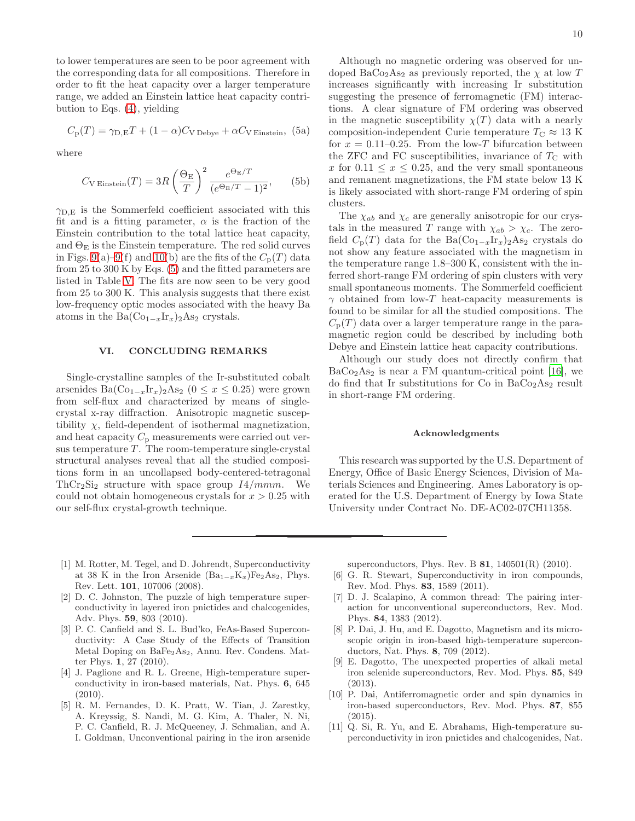to lower temperatures are seen to be poor agreement with the corresponding data for all compositions. Therefore in order to fit the heat capacity over a larger temperature range, we added an Einstein lattice heat capacity contribution to Eqs. [\(4\)](#page-8-0), yielding

<span id="page-9-7"></span>
$$
C_{\rm p}(T) = \gamma_{\rm D,E} T + (1 - \alpha)C_{\rm V\,Debye} + \alpha C_{\rm V\,Einstein},
$$
 (5a)

where

$$
C_{\text{V Einstein}}(T) = 3R \left(\frac{\Theta_{\text{E}}}{T}\right)^2 \frac{e^{\Theta_{\text{E}}/T}}{(e^{\Theta_{\text{E}}/T} - 1)^2},\qquad(5b)
$$

 $\gamma_{\text{D,E}}$  is the Sommerfeld coefficient associated with this fit and is a fitting parameter,  $\alpha$  is the fraction of the Einstein contribution to the total lattice heat capacity, and  $\Theta_{\rm E}$  is the Einstein temperature. The red solid curves in Figs. [9\(](#page-7-0)a)[–9\(](#page-7-0)f) and [10\(](#page-8-4)b) are the fits of the  $C_p(T)$  data from 25 to 300 K by Eqs. [\(5\)](#page-9-7) and the fitted parameters are listed in Table [V.](#page-8-2) The fits are now seen to be very good from 25 to 300 K. This analysis suggests that there exist low-frequency optic modes associated with the heavy Ba atoms in the Ba $(\text{Co}_{1-x}\text{Ir}_x)_2\text{As}_2$  crystals.

## <span id="page-9-6"></span>VI. CONCLUDING REMARKS

Single-crystalline samples of the Ir-substituted cobalt arsenides Ba $(\text{Co}_{1-x}\text{Ir}_x)_2\text{As}_2$  (0 ≤  $x$  ≤ 0.25) were grown from self-flux and characterized by means of singlecrystal x-ray diffraction. Anisotropic magnetic susceptibility  $\chi$ , field-dependent of isothermal magnetization, and heat capacity  $C_p$  measurements were carried out versus temperature  $T$ . The room-temperature single-crystal structural analyses reveal that all the studied compositions form in an uncollapsed body-centered-tetragonal  $ThCr<sub>2</sub>Si<sub>2</sub> structure with space group 14/mmm. We$ could not obtain homogeneous crystals for  $x > 0.25$  with our self-flux crystal-growth technique.

Although no magnetic ordering was observed for undoped BaCo<sub>2</sub>As<sub>2</sub> as previously reported, the  $\chi$  at low T increases significantly with increasing Ir substitution suggesting the presence of ferromagnetic (FM) interactions. A clear signature of FM ordering was observed in the magnetic susceptibility  $\chi(T)$  data with a nearly composition-independent Curie temperature  $T_{\rm C} \approx 13$  K for  $x = 0.11{\text{-}}0.25$ . From the low-T bifurcation between the ZFC and FC susceptibilities, invariance of  $T_{\rm C}$  with x for  $0.11 \leq x \leq 0.25$ , and the very small spontaneous and remanent magnetizations, the FM state below 13 K is likely associated with short-range FM ordering of spin clusters.

The  $\chi_{ab}$  and  $\chi_c$  are generally anisotropic for our crystals in the measured T range with  $\chi_{ab} > \chi_c$ . The zerofield  $C_p(T)$  data for the Ba $(\text{Co}_{1-x}\text{Ir}_x)_2\text{As}_2$  crystals do not show any feature associated with the magnetism in the temperature range 1.8–300 K, consistent with the inferred short-range FM ordering of spin clusters with very small spontaneous moments. The Sommerfeld coefficient  $\gamma$  obtained from low-T heat-capacity measurements is found to be similar for all the studied compositions. The  $C_{\rm p}(T)$  data over a larger temperature range in the paramagnetic region could be described by including both Debye and Einstein lattice heat capacity contributions.

Although our study does not directly confirm that  $BaCo<sub>2</sub>As<sub>2</sub>$  is near a FM quantum-critical point [\[16](#page-10-11)], we do find that Ir substitutions for Co in  $BaCo<sub>2</sub>As<sub>2</sub>$  result in short-range FM ordering.

#### Acknowledgments

This research was supported by the U.S. Department of Energy, Office of Basic Energy Sciences, Division of Materials Sciences and Engineering. Ames Laboratory is operated for the U.S. Department of Energy by Iowa State University under Contract No. DE-AC02-07CH11358.

- <span id="page-9-0"></span>[1] M. Rotter, M. Tegel, and D. Johrendt, Superconductivity at 38 K in the Iron Arsenide (Ba<sub>1-x</sub>K<sub>x</sub>)Fe<sub>2</sub>As<sub>2</sub>, Phys. Rev. Lett. 101, 107006 (2008).
- <span id="page-9-1"></span>[2] D. C. Johnston, The puzzle of high temperature superconductivity in layered iron pnictides and chalcogenides, Adv. Phys. 59, 803 (2010).
- [3] P. C. Canfield and S. L. Bud'ko, FeAs-Based Superconductivity: A Case Study of the Effects of Transition Metal Doping on BaFe2As2, Annu. Rev. Condens. Matter Phys. 1, 27 (2010).
- <span id="page-9-4"></span>[4] J. Paglione and R. L. Greene, High-temperature superconductivity in iron-based materials, Nat. Phys. 6, 645 (2010).
- [5] R. M. Fernandes, D. K. Pratt, W. Tian, J. Zarestky, A. Kreyssig, S. Nandi, M. G. Kim, A. Thaler, N. Ni, P. C. Canfield, R. J. McQueeney, J. Schmalian, and A. I. Goldman, Unconventional pairing in the iron arsenide

superconductors, Phys. Rev. B 81, 140501(R) (2010).

- <span id="page-9-5"></span>[6] G. R. Stewart, Superconductivity in iron compounds, Rev. Mod. Phys. 83, 1589 (2011).
- [7] D. J. Scalapino, A common thread: The pairing interaction for unconventional superconductors, Rev. Mod. Phys. 84, 1383 (2012).
- [8] P. Dai, J. Hu, and E. Dagotto, Magnetism and its microscopic origin in iron-based high-temperature superconductors, Nat. Phys. 8, 709 (2012).
- E. Dagotto, The unexpected properties of alkali metal iron selenide superconductors, Rev. Mod. Phys. 85, 849 (2013).
- <span id="page-9-3"></span>[10] P. Dai, Antiferromagnetic order and spin dynamics in iron-based superconductors, Rev. Mod. Phys. 87, 855 (2015).
- <span id="page-9-2"></span>[11] Q. Si, R. Yu, and E. Abrahams, High-temperature superconductivity in iron pnictides and chalcogenides, Nat.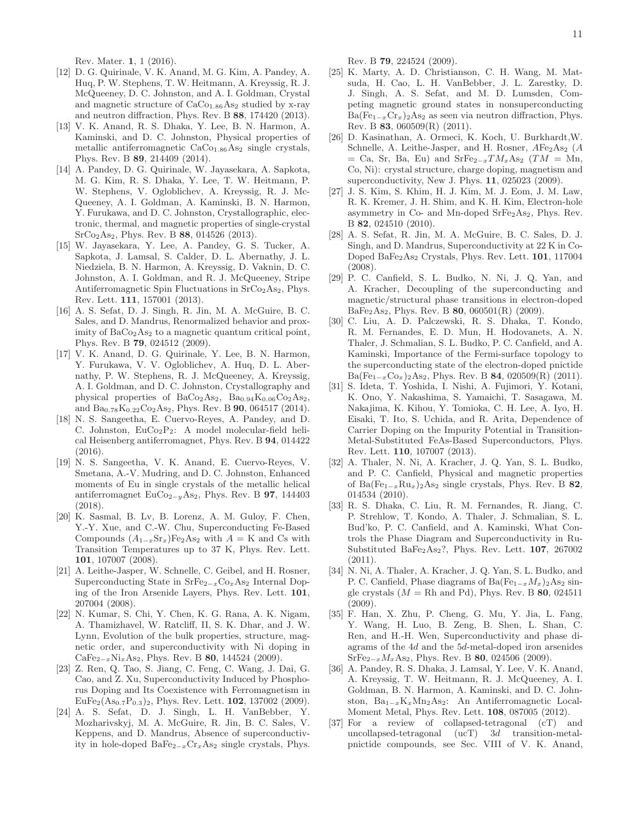Rev. Mater. 1, 1 (2016).

- <span id="page-10-0"></span>[12] D. G. Quirinale, V. K. Anand, M. G. Kim, A. Pandey, A. Huq, P. W. Stephens, T. W. Heitmann, A. Kreyssig, R. J. McQueeney, D. C. Johnston, and A. I. Goldman, Crystal and magnetic structure of  $\rm CaCo_{1.86}As_{2}$  studied by x-ray and neutron diffraction, Phys. Rev. B 88, 174420 (2013).
- <span id="page-10-8"></span>[13] V. K. Anand, R. S. Dhaka, Y. Lee, B. N. Harmon, A. Kaminski, and D. C. Johnston, Physical properties of metallic antiferromagnetic  $CaCo<sub>1.86</sub> As<sub>2</sub> single crystals,$ Phys. Rev. B 89, 214409 (2014).
- <span id="page-10-9"></span>[14] A. Pandey, D. G. Quirinale, W. Jayasekara, A. Sapkota, M. G. Kim, R. S. Dhaka, Y. Lee, T. W. Heitmann, P. W. Stephens, V. Ogloblichev, A. Kreyssig, R. J. Mc-Queeney, A. I. Goldman, A. Kaminski, B. N. Harmon, Y. Furukawa, and D. C. Johnston, Crystallographic, electronic, thermal, and magnetic properties of single-crystal SrCo2As2, Phys. Rev. B 88, 014526 (2013).
- <span id="page-10-10"></span>[15] W. Jayasekara, Y. Lee, A. Pandey, G. S. Tucker, A. Sapkota, J. Lamsal, S. Calder, D. L. Abernathy, J. L. Niedziela, B. N. Harmon, A. Kreyssig, D. Vaknin, D. C. Johnston, A. I. Goldman, and R. J. McQueeney, Stripe Antiferromagnetic Spin Fluctuations in  $SrCo<sub>2</sub>As<sub>2</sub>$ , Phys. Rev. Lett. 111, 157001 (2013).
- <span id="page-10-11"></span>[16] A. S. Sefat, D. J. Singh, R. Jin, M. A. McGuire, B. C. Sales, and D. Mandrus, Renormalized behavior and proximity of  $BaCo<sub>2</sub>As<sub>2</sub>$  to a magnetic quantum critical point, Phys. Rev. B 79, 024512 (2009).
- <span id="page-10-12"></span>[17] V. K. Anand, D. G. Quirinale, Y. Lee, B. N. Harmon, Y. Furukawa, V. V. Ogloblichev, A. Huq, D. L. Abernathy, P. W. Stephens, R. J. McQueeney, A. Kreyssig, A. I. Goldman, and D. C. Johnston, Crystallography and physical properties of  $BaCo<sub>2</sub>As<sub>2</sub>$ ,  $Ba<sub>0.94</sub>K<sub>0.06</sub>Co<sub>2</sub>As<sub>2</sub>$ , and  $Ba_{0.78}K_{0.22}Co_2As_2$ , Phys. Rev. B 90, 064517 (2014).
- [18] N. S. Sangeetha, E. Cuervo-Reyes, A. Pandey, and D. C. Johnston,  $EuCo<sub>2</sub>P<sub>2</sub>$ : A model molecular-field helical Heisenberg antiferromagnet, Phys. Rev. B 94, 014422 (2016).
- <span id="page-10-1"></span>[19] N. S. Sangeetha, V. K. Anand, E. Cuervo-Reyes, V. Smetana, A.-V. Mudring, and D. C. Johnston, Enhanced moments of Eu in single crystals of the metallic helical antiferromagnet EuCo<sub>2−y</sub>As<sub>2</sub>, Phys. Rev. B **97**, 144403 (2018).
- <span id="page-10-2"></span>[20] K. Sasmal, B. Lv, B. Lorenz, A. M. Guloy, F. Chen, Y.-Y. Xue, and C.-W. Chu, Superconducting Fe-Based Compounds  $(A_{1-x}Sr_x)Fe<sub>2</sub>As<sub>2</sub>$  with  $A = K$  and Cs with Transition Temperatures up to 37 K, Phys. Rev. Lett. 101, 107007 (2008).
- [21] A. Leithe-Jasper, W. Schnelle, C. Geibel, and H. Rosner, Superconducting State in  $SrFe_{2-x}Co_xAs_2$  Internal Doping of the Iron Arsenide Layers, Phys. Rev. Lett. 101, 207004 (2008).
- [22] N. Kumar, S. Chi, Y. Chen, K. G. Rana, A. K. Nigam, A. Thamizhavel, W. Ratcliff, II, S. K. Dhar, and J. W. Lynn, Evolution of the bulk properties, structure, magnetic order, and superconductivity with Ni doping in  $CaFe_{2-x}Ni_xAs_2$ , Phys. Rev. B 80, 144524 (2009).
- <span id="page-10-3"></span>[23] Z. Ren, Q. Tao, S. Jiang, C. Feng, C. Wang, J. Dai, G. Cao, and Z. Xu, Superconductivity Induced by Phosphorus Doping and Its Coexistence with Ferromagnetism in  $EuFe<sub>2</sub>(As<sub>0.7</sub>P<sub>0.3</sub>)<sub>2</sub>$ , Phys. Rev. Lett. **102**, 137002 (2009).
- <span id="page-10-4"></span>[24] A. S. Sefat, D. J. Singh, L. H. VanBebber, Y. Mozharivskyj, M. A. McGuire, R. Jin, B. C. Sales, V. Keppens, and D. Mandrus, Absence of superconductivity in hole-doped BaFe $_{2-x}Cr_xAs_2$  single crystals, Phys.

Rev. B 79, 224524 (2009).

- [25] K. Marty, A. D. Christianson, C. H. Wang, M. Matsuda, H. Cao, L. H. VanBebber, J. L. Zarestky, D. J. Singh, A. S. Sefat, and M. D. Lumsden, Competing magnetic ground states in nonsuperconducting  $Ba(Fe_{1-x}Cr_x)_2As_2$  as seen via neutron diffraction, Phys. Rev. B 83, 060509(R) (2011).
- [26] D. Kasinathan, A. Ormeci, K. Koch, U. Burkhardt,W. Schnelle, A. Leithe-Jasper, and H. Rosner,  $AFe<sub>2</sub>As<sub>2</sub>$  (A  $=$  Ca, Sr, Ba, Eu) and SrFe<sub>2−x</sub>TM<sub>x</sub>As<sub>2</sub> (TM = Mn, Co, Ni): crystal structure, charge doping, magnetism and superconductivity, New J. Phys. 11, 025023 (2009).
- [27] J. S. Kim, S. Khim, H. J. Kim, M. J. Eom, J. M. Law, R. K. Kremer, J. H. Shim, and K. H. Kim, Electron-hole asymmetry in Co- and Mn-doped SrFe2As2, Phys. Rev. B 82, 024510 (2010).
- [28] A. S. Sefat, R. Jin, M. A. McGuire, B. C. Sales, D. J. Singh, and D. Mandrus, Superconductivity at 22 K in Co-Doped BaFe2As<sup>2</sup> Crystals, Phys. Rev. Lett. 101, 117004 (2008).
- [29] P. C. Canfield, S. L. Budko, N. Ni, J. Q. Yan, and A. Kracher, Decoupling of the superconducting and magnetic/structural phase transitions in electron-doped  $BaFe<sub>2</sub>As<sub>2</sub>$ , Phys. Rev. B **80**, 060501(R) (2009).
- [30] C. Liu, A. D. Palczewski, R. S. Dhaka, T. Kondo, R. M. Fernandes, E. D. Mun, H. Hodovanets, A. N. Thaler, J. Schmalian, S. L. Budko, P. C. Canfield, and A. Kaminski, Importance of the Fermi-surface topology to the superconducting state of the electron-doped pnictide  $Ba(Fe_{1-x}Co_x)_{2}As_2$ , Phys. Rev. B 84, 020509(R) (2011).
- [31] S. Ideta, T. Yoshida, I. Nishi, A. Fujimori, Y. Kotani, K. Ono, Y. Nakashima, S. Yamaichi, T. Sasagawa, M. Nakajima, K. Kihou, Y. Tomioka, C. H. Lee, A. Iyo, H. Eisaki, T. Ito, S. Uchida, and R. Arita, Dependence of Carrier Doping on the Impurity Potential in Transition-Metal-Substituted FeAs-Based Superconductors, Phys. Rev. Lett. 110, 107007 (2013).
- [32] A. Thaler, N. Ni, A. Kracher, J. Q. Yan, S. L. Budko, and P. C. Canfield, Physical and magnetic properties of Ba(Fe<sub>1−x</sub>Ru<sub>x</sub>)<sub>2</sub>As<sub>2</sub> single crystals, Phys. Rev. B 82, 014534 (2010).
- [33] R. S. Dhaka, C. Liu, R. M. Fernandes, R. Jiang, C. P. Strehlow, T. Kondo, A. Thaler, J. Schmalian, S. L. Bud'ko, P. C. Canfield, and A. Kaminski, What Controls the Phase Diagram and Superconductivity in Ru-Substituted BaFe2As2?, Phys. Rev. Lett. 107, 267002 (2011).
- [34] N. Ni, A. Thaler, A. Kracher, J. Q. Yan, S. L. Budko, and P. C. Canfield, Phase diagrams of Ba( $Fe_{1-x}M_x$ )<sub>2</sub>As<sub>2</sub> single crystals  $(M = Rh \text{ and } Pd)$ , Phys. Rev. B 80, 024511 (2009).
- <span id="page-10-5"></span>[35] F. Han, X. Zhu, P. Cheng, G. Mu, Y. Jia, L. Fang, Y. Wang, H. Luo, B. Zeng, B. Shen, L. Shan, C. Ren, and H.-H. Wen, Superconductivity and phase diagrams of the  $4d$  and the  $5d$ -metal-doped iron arsenides  $SrFe_{2-x}M_{x}As_{2}$ , Phys. Rev. B 80, 024506 (2009).
- <span id="page-10-6"></span>[36] A. Pandey, R. S. Dhaka, J. Lamsal, Y. Lee, V. K. Anand, A. Kreyssig, T. W. Heitmann, R. J. McQueeney, A. I. Goldman, B. N. Harmon, A. Kaminski, and D. C. Johnston, Ba1−xKxMn2As2: An Antiferromagnetic Local-Moment Metal, Phys. Rev. Lett. 108, 087005 (2012).
- <span id="page-10-7"></span>[37] For a review of collapsed-tetragonal (cT) and uncollapsed-tetragonal (ucT) 3d transition-metalpnictide compounds, see Sec. VIII of V. K. Anand,